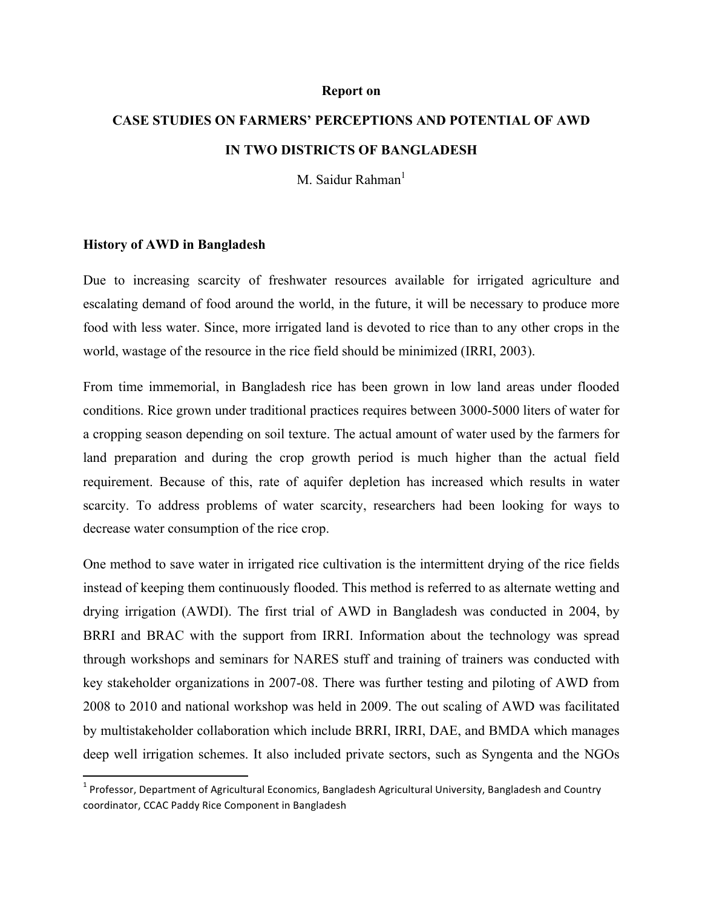#### **Report on**

# **CASE STUDIES ON FARMERS' PERCEPTIONS AND POTENTIAL OF AWD IN TWO DISTRICTS OF BANGLADESH**

M. Saidur Rahman<sup>1</sup>

#### **History of AWD in Bangladesh**

<u> 1989 - Johann Stein, markin film yn y breninn y breninn y breninn y breninn y breninn y breninn y breninn y b</u>

Due to increasing scarcity of freshwater resources available for irrigated agriculture and escalating demand of food around the world, in the future, it will be necessary to produce more food with less water. Since, more irrigated land is devoted to rice than to any other crops in the world, wastage of the resource in the rice field should be minimized (IRRI, 2003).

From time immemorial, in Bangladesh rice has been grown in low land areas under flooded conditions. Rice grown under traditional practices requires between 3000-5000 liters of water for a cropping season depending on soil texture. The actual amount of water used by the farmers for land preparation and during the crop growth period is much higher than the actual field requirement. Because of this, rate of aquifer depletion has increased which results in water scarcity. To address problems of water scarcity, researchers had been looking for ways to decrease water consumption of the rice crop.

One method to save water in irrigated rice cultivation is the intermittent drying of the rice fields instead of keeping them continuously flooded. This method is referred to as alternate wetting and drying irrigation (AWDI). The first trial of AWD in Bangladesh was conducted in 2004, by BRRI and BRAC with the support from IRRI. Information about the technology was spread through workshops and seminars for NARES stuff and training of trainers was conducted with key stakeholder organizations in 2007-08. There was further testing and piloting of AWD from 2008 to 2010 and national workshop was held in 2009. The out scaling of AWD was facilitated by multistakeholder collaboration which include BRRI, IRRI, DAE, and BMDA which manages deep well irrigation schemes. It also included private sectors, such as Syngenta and the NGOs

 $1$  Professor, Department of Agricultural Economics, Bangladesh Agricultural University, Bangladesh and Country coordinator, CCAC Paddy Rice Component in Bangladesh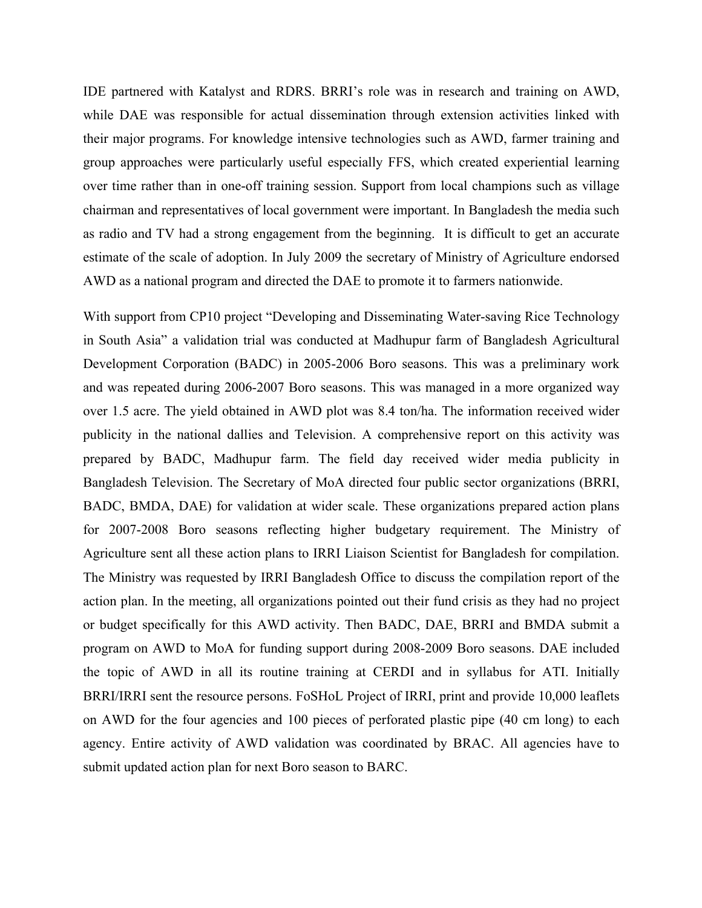IDE partnered with Katalyst and RDRS. BRRI's role was in research and training on AWD, while DAE was responsible for actual dissemination through extension activities linked with their major programs. For knowledge intensive technologies such as AWD, farmer training and group approaches were particularly useful especially FFS, which created experiential learning over time rather than in one-off training session. Support from local champions such as village chairman and representatives of local government were important. In Bangladesh the media such as radio and TV had a strong engagement from the beginning. It is difficult to get an accurate estimate of the scale of adoption. In July 2009 the secretary of Ministry of Agriculture endorsed AWD as a national program and directed the DAE to promote it to farmers nationwide.

With support from CP10 project "Developing and Disseminating Water-saving Rice Technology in South Asia" a validation trial was conducted at Madhupur farm of Bangladesh Agricultural Development Corporation (BADC) in 2005-2006 Boro seasons. This was a preliminary work and was repeated during 2006-2007 Boro seasons. This was managed in a more organized way over 1.5 acre. The yield obtained in AWD plot was 8.4 ton/ha. The information received wider publicity in the national dallies and Television. A comprehensive report on this activity was prepared by BADC, Madhupur farm. The field day received wider media publicity in Bangladesh Television. The Secretary of MoA directed four public sector organizations (BRRI, BADC, BMDA, DAE) for validation at wider scale. These organizations prepared action plans for 2007-2008 Boro seasons reflecting higher budgetary requirement. The Ministry of Agriculture sent all these action plans to IRRI Liaison Scientist for Bangladesh for compilation. The Ministry was requested by IRRI Bangladesh Office to discuss the compilation report of the action plan. In the meeting, all organizations pointed out their fund crisis as they had no project or budget specifically for this AWD activity. Then BADC, DAE, BRRI and BMDA submit a program on AWD to MoA for funding support during 2008-2009 Boro seasons. DAE included the topic of AWD in all its routine training at CERDI and in syllabus for ATI. Initially BRRI/IRRI sent the resource persons. FoSHoL Project of IRRI, print and provide 10,000 leaflets on AWD for the four agencies and 100 pieces of perforated plastic pipe (40 cm long) to each agency. Entire activity of AWD validation was coordinated by BRAC. All agencies have to submit updated action plan for next Boro season to BARC.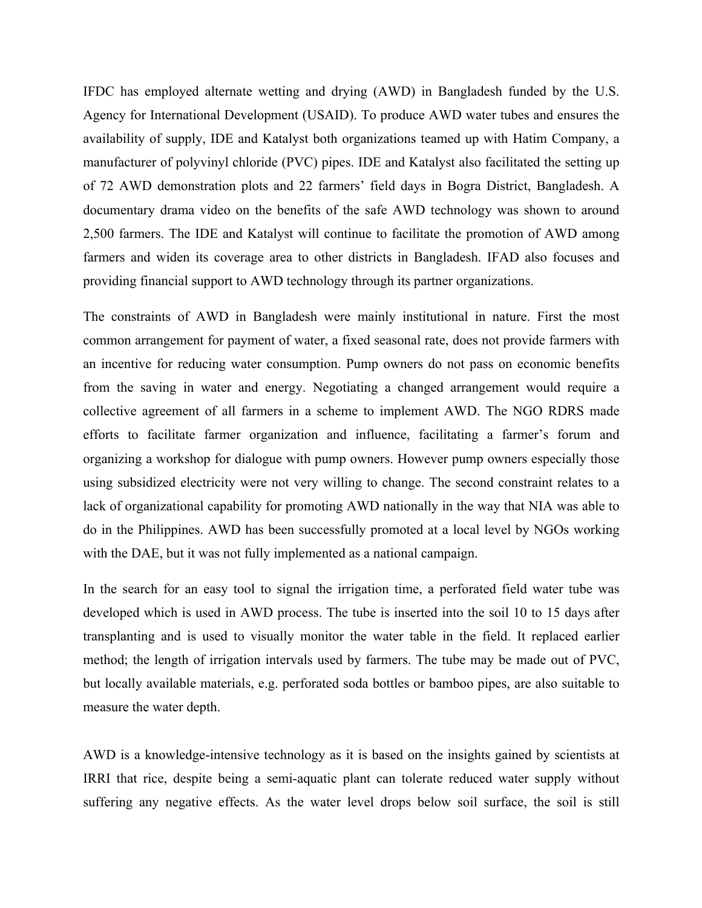IFDC has employed alternate wetting and drying (AWD) in Bangladesh funded by the U.S. Agency for International Development (USAID). To produce AWD water tubes and ensures the availability of supply, IDE and Katalyst both organizations teamed up with Hatim Company, a manufacturer of polyvinyl chloride (PVC) pipes. IDE and Katalyst also facilitated the setting up of 72 AWD demonstration plots and 22 farmers' field days in Bogra District, Bangladesh. A documentary drama video on the benefits of the safe AWD technology was shown to around 2,500 farmers. The IDE and Katalyst will continue to facilitate the promotion of AWD among farmers and widen its coverage area to other districts in Bangladesh. IFAD also focuses and providing financial support to AWD technology through its partner organizations.

The constraints of AWD in Bangladesh were mainly institutional in nature. First the most common arrangement for payment of water, a fixed seasonal rate, does not provide farmers with an incentive for reducing water consumption. Pump owners do not pass on economic benefits from the saving in water and energy. Negotiating a changed arrangement would require a collective agreement of all farmers in a scheme to implement AWD. The NGO RDRS made efforts to facilitate farmer organization and influence, facilitating a farmer's forum and organizing a workshop for dialogue with pump owners. However pump owners especially those using subsidized electricity were not very willing to change. The second constraint relates to a lack of organizational capability for promoting AWD nationally in the way that NIA was able to do in the Philippines. AWD has been successfully promoted at a local level by NGOs working with the DAE, but it was not fully implemented as a national campaign.

In the search for an easy tool to signal the irrigation time, a perforated field water tube was developed which is used in AWD process. The tube is inserted into the soil 10 to 15 days after transplanting and is used to visually monitor the water table in the field. It replaced earlier method; the length of irrigation intervals used by farmers. The tube may be made out of PVC, but locally available materials, e.g. perforated soda bottles or bamboo pipes, are also suitable to measure the water depth.

AWD is a knowledge-intensive technology as it is based on the insights gained by scientists at IRRI that rice, despite being a semi-aquatic plant can tolerate reduced water supply without suffering any negative effects. As the water level drops below soil surface, the soil is still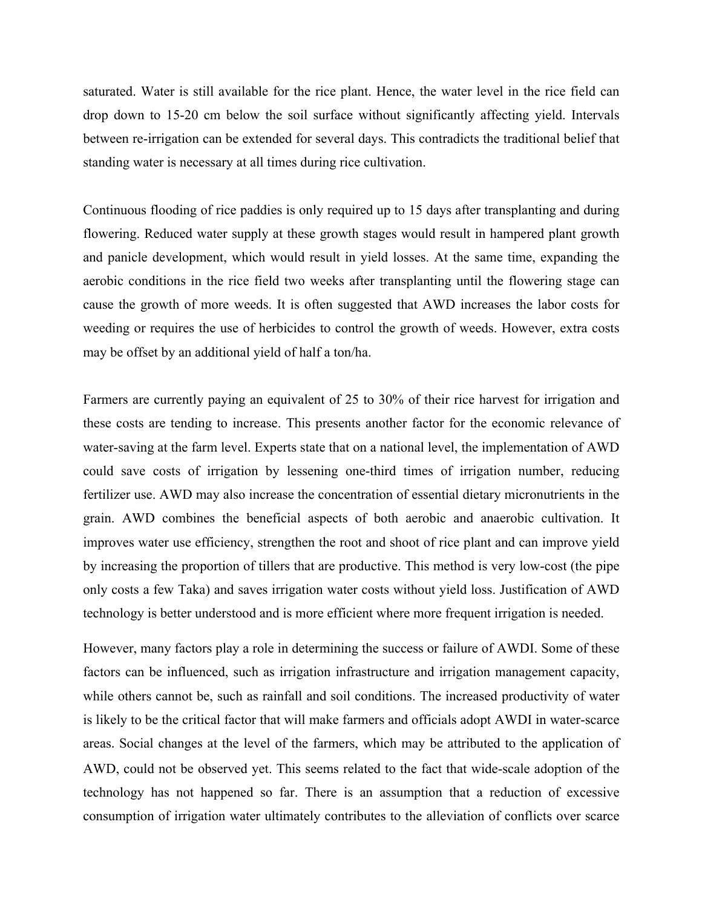saturated. Water is still available for the rice plant. Hence, the water level in the rice field can drop down to 15-20 cm below the soil surface without significantly affecting yield. Intervals between re-irrigation can be extended for several days. This contradicts the traditional belief that standing water is necessary at all times during rice cultivation.

Continuous flooding of rice paddies is only required up to 15 days after transplanting and during flowering. Reduced water supply at these growth stages would result in hampered plant growth and panicle development, which would result in yield losses. At the same time, expanding the aerobic conditions in the rice field two weeks after transplanting until the flowering stage can cause the growth of more weeds. It is often suggested that AWD increases the labor costs for weeding or requires the use of herbicides to control the growth of weeds. However, extra costs may be offset by an additional yield of half a ton/ha.

Farmers are currently paying an equivalent of 25 to 30% of their rice harvest for irrigation and these costs are tending to increase. This presents another factor for the economic relevance of water-saving at the farm level. Experts state that on a national level, the implementation of AWD could save costs of irrigation by lessening one-third times of irrigation number, reducing fertilizer use. AWD may also increase the concentration of essential dietary micronutrients in the grain. AWD combines the beneficial aspects of both aerobic and anaerobic cultivation. It improves water use efficiency, strengthen the root and shoot of rice plant and can improve yield by increasing the proportion of tillers that are productive. This method is very low-cost (the pipe only costs a few Taka) and saves irrigation water costs without yield loss. Justification of AWD technology is better understood and is more efficient where more frequent irrigation is needed.

However, many factors play a role in determining the success or failure of AWDI. Some of these factors can be influenced, such as irrigation infrastructure and irrigation management capacity, while others cannot be, such as rainfall and soil conditions. The increased productivity of water is likely to be the critical factor that will make farmers and officials adopt AWDI in water-scarce areas. Social changes at the level of the farmers, which may be attributed to the application of AWD, could not be observed yet. This seems related to the fact that wide-scale adoption of the technology has not happened so far. There is an assumption that a reduction of excessive consumption of irrigation water ultimately contributes to the alleviation of conflicts over scarce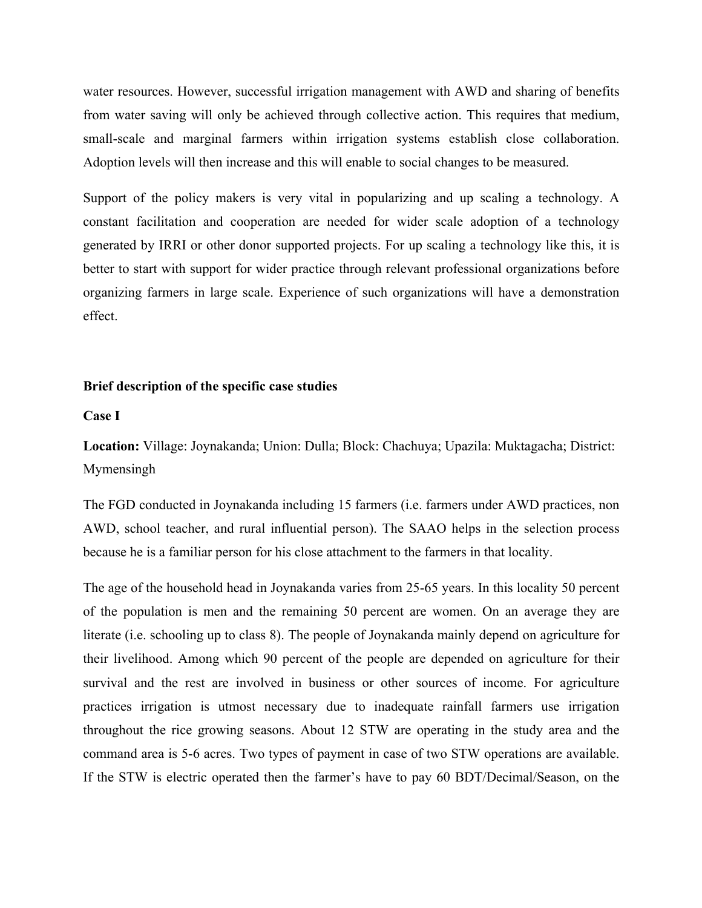water resources. However, successful irrigation management with AWD and sharing of benefits from water saving will only be achieved through collective action. This requires that medium, small-scale and marginal farmers within irrigation systems establish close collaboration. Adoption levels will then increase and this will enable to social changes to be measured.

Support of the policy makers is very vital in popularizing and up scaling a technology. A constant facilitation and cooperation are needed for wider scale adoption of a technology generated by IRRI or other donor supported projects. For up scaling a technology like this, it is better to start with support for wider practice through relevant professional organizations before organizing farmers in large scale. Experience of such organizations will have a demonstration effect.

#### **Brief description of the specific case studies**

**Case I**

**Location:** Village: Joynakanda; Union: Dulla; Block: Chachuya; Upazila: Muktagacha; District: Mymensingh

The FGD conducted in Joynakanda including 15 farmers (i.e. farmers under AWD practices, non AWD, school teacher, and rural influential person). The SAAO helps in the selection process because he is a familiar person for his close attachment to the farmers in that locality.

The age of the household head in Joynakanda varies from 25-65 years. In this locality 50 percent of the population is men and the remaining 50 percent are women. On an average they are literate (i.e. schooling up to class 8). The people of Joynakanda mainly depend on agriculture for their livelihood. Among which 90 percent of the people are depended on agriculture for their survival and the rest are involved in business or other sources of income. For agriculture practices irrigation is utmost necessary due to inadequate rainfall farmers use irrigation throughout the rice growing seasons. About 12 STW are operating in the study area and the command area is 5-6 acres. Two types of payment in case of two STW operations are available. If the STW is electric operated then the farmer's have to pay 60 BDT/Decimal/Season, on the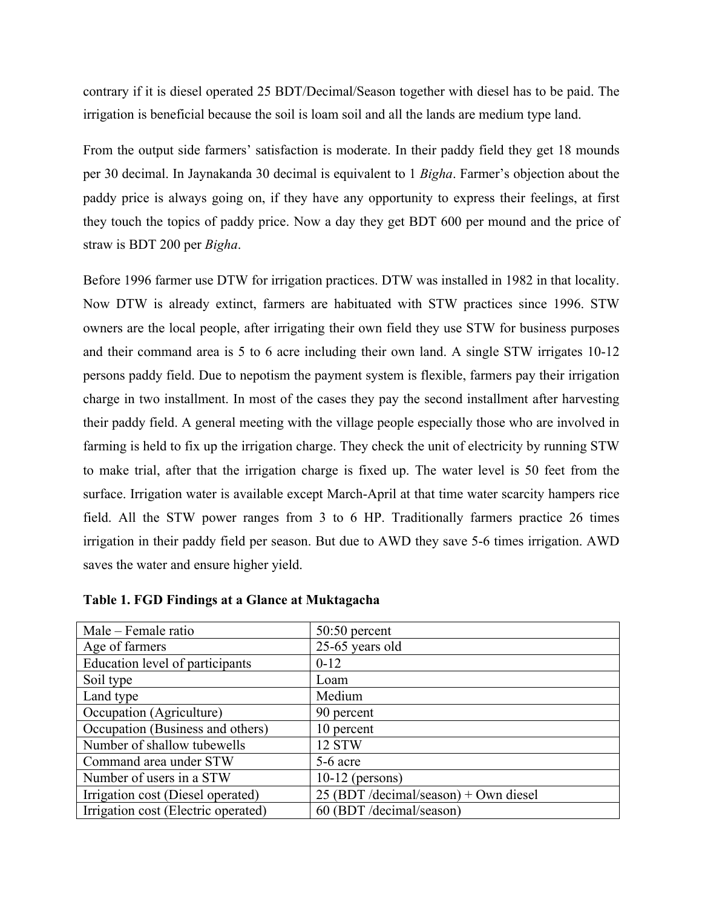contrary if it is diesel operated 25 BDT/Decimal/Season together with diesel has to be paid. The irrigation is beneficial because the soil is loam soil and all the lands are medium type land.

From the output side farmers' satisfaction is moderate. In their paddy field they get 18 mounds per 30 decimal. In Jaynakanda 30 decimal is equivalent to 1 *Bigha*. Farmer's objection about the paddy price is always going on, if they have any opportunity to express their feelings, at first they touch the topics of paddy price. Now a day they get BDT 600 per mound and the price of straw is BDT 200 per *Bigha*.

Before 1996 farmer use DTW for irrigation practices. DTW was installed in 1982 in that locality. Now DTW is already extinct, farmers are habituated with STW practices since 1996. STW owners are the local people, after irrigating their own field they use STW for business purposes and their command area is 5 to 6 acre including their own land. A single STW irrigates 10-12 persons paddy field. Due to nepotism the payment system is flexible, farmers pay their irrigation charge in two installment. In most of the cases they pay the second installment after harvesting their paddy field. A general meeting with the village people especially those who are involved in farming is held to fix up the irrigation charge. They check the unit of electricity by running STW to make trial, after that the irrigation charge is fixed up. The water level is 50 feet from the surface. Irrigation water is available except March-April at that time water scarcity hampers rice field. All the STW power ranges from 3 to 6 HP. Traditionally farmers practice 26 times irrigation in their paddy field per season. But due to AWD they save 5-6 times irrigation. AWD saves the water and ensure higher yield.

| Male – Female ratio                 | $50:50$ percent                       |
|-------------------------------------|---------------------------------------|
| Age of farmers                      | 25-65 years old                       |
| Education level of participants     | $0 - 12$                              |
| Soil type                           | Loam                                  |
| Land type                           | Medium                                |
| Occupation (Agriculture)            | 90 percent                            |
| Occupation (Business and others)    | 10 percent                            |
| Number of shallow tubewells         | 12 STW                                |
| Command area under STW              | 5-6 acre                              |
| Number of users in a STW            | $10-12$ (persons)                     |
| Irrigation cost (Diesel operated)   | 25 (BDT /decimal/season) + Own diesel |
| Irrigation cost (Electric operated) | 60 (BDT /decimal/season)              |

**Table 1. FGD Findings at a Glance at Muktagacha**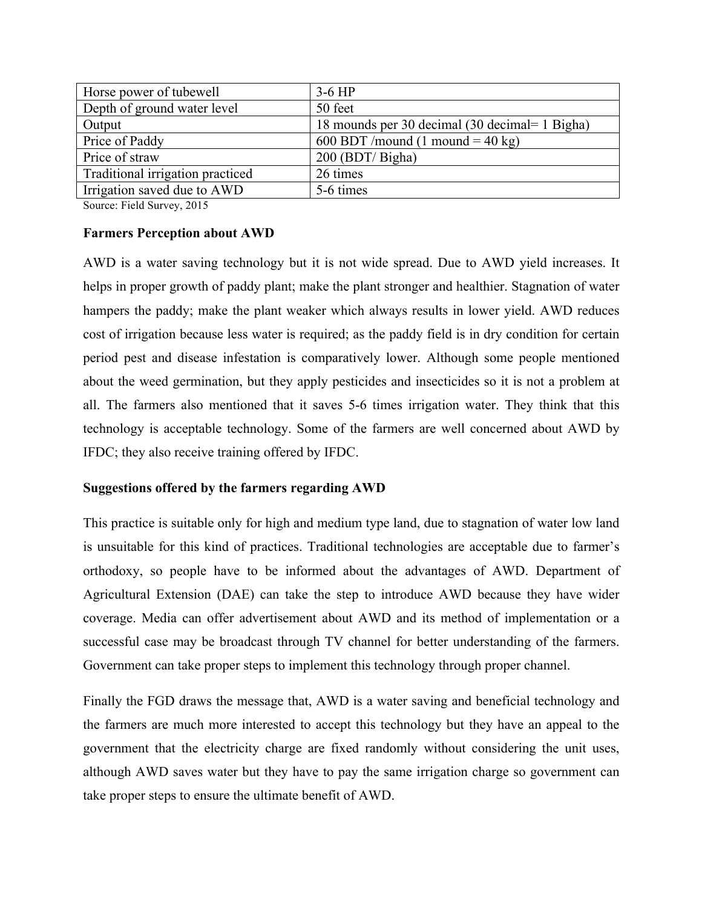| Horse power of tubewell          | $3-6$ HP                                       |
|----------------------------------|------------------------------------------------|
| Depth of ground water level      | 50 feet                                        |
| Output                           | 18 mounds per 30 decimal (30 decimal= 1 Bigha) |
| Price of Paddy                   | 600 BDT /mound (1 mound = 40 kg)               |
| Price of straw                   | $200$ (BDT/Bigha)                              |
| Traditional irrigation practiced | 26 times                                       |
| Irrigation saved due to AWD      | 5-6 times                                      |

Source: Field Survey, 2015

## **Farmers Perception about AWD**

AWD is a water saving technology but it is not wide spread. Due to AWD yield increases. It helps in proper growth of paddy plant; make the plant stronger and healthier. Stagnation of water hampers the paddy; make the plant weaker which always results in lower yield. AWD reduces cost of irrigation because less water is required; as the paddy field is in dry condition for certain period pest and disease infestation is comparatively lower. Although some people mentioned about the weed germination, but they apply pesticides and insecticides so it is not a problem at all. The farmers also mentioned that it saves 5-6 times irrigation water. They think that this technology is acceptable technology. Some of the farmers are well concerned about AWD by IFDC; they also receive training offered by IFDC.

## **Suggestions offered by the farmers regarding AWD**

This practice is suitable only for high and medium type land, due to stagnation of water low land is unsuitable for this kind of practices. Traditional technologies are acceptable due to farmer's orthodoxy, so people have to be informed about the advantages of AWD. Department of Agricultural Extension (DAE) can take the step to introduce AWD because they have wider coverage. Media can offer advertisement about AWD and its method of implementation or a successful case may be broadcast through TV channel for better understanding of the farmers. Government can take proper steps to implement this technology through proper channel.

Finally the FGD draws the message that, AWD is a water saving and beneficial technology and the farmers are much more interested to accept this technology but they have an appeal to the government that the electricity charge are fixed randomly without considering the unit uses, although AWD saves water but they have to pay the same irrigation charge so government can take proper steps to ensure the ultimate benefit of AWD.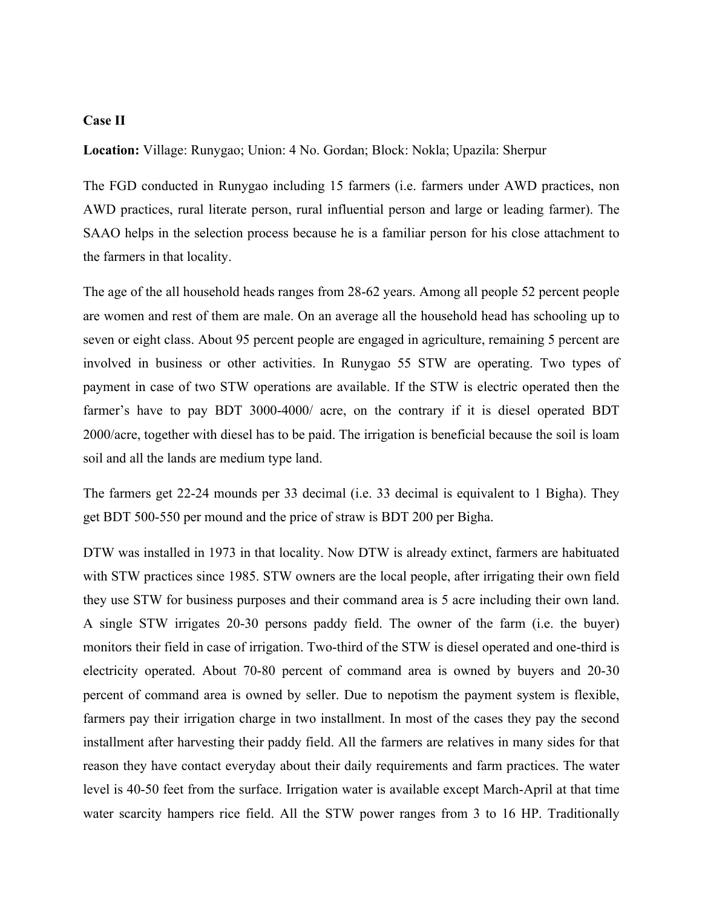#### **Case II**

**Location:** Village: Runygao; Union: 4 No. Gordan; Block: Nokla; Upazila: Sherpur

The FGD conducted in Runygao including 15 farmers (i.e. farmers under AWD practices, non AWD practices, rural literate person, rural influential person and large or leading farmer). The SAAO helps in the selection process because he is a familiar person for his close attachment to the farmers in that locality.

The age of the all household heads ranges from 28-62 years. Among all people 52 percent people are women and rest of them are male. On an average all the household head has schooling up to seven or eight class. About 95 percent people are engaged in agriculture, remaining 5 percent are involved in business or other activities. In Runygao 55 STW are operating. Two types of payment in case of two STW operations are available. If the STW is electric operated then the farmer's have to pay BDT 3000-4000/ acre, on the contrary if it is diesel operated BDT 2000/acre, together with diesel has to be paid. The irrigation is beneficial because the soil is loam soil and all the lands are medium type land.

The farmers get 22-24 mounds per 33 decimal (i.e. 33 decimal is equivalent to 1 Bigha). They get BDT 500-550 per mound and the price of straw is BDT 200 per Bigha.

DTW was installed in 1973 in that locality. Now DTW is already extinct, farmers are habituated with STW practices since 1985. STW owners are the local people, after irrigating their own field they use STW for business purposes and their command area is 5 acre including their own land. A single STW irrigates 20-30 persons paddy field. The owner of the farm (i.e. the buyer) monitors their field in case of irrigation. Two-third of the STW is diesel operated and one-third is electricity operated. About 70-80 percent of command area is owned by buyers and 20-30 percent of command area is owned by seller. Due to nepotism the payment system is flexible, farmers pay their irrigation charge in two installment. In most of the cases they pay the second installment after harvesting their paddy field. All the farmers are relatives in many sides for that reason they have contact everyday about their daily requirements and farm practices. The water level is 40-50 feet from the surface. Irrigation water is available except March-April at that time water scarcity hampers rice field. All the STW power ranges from 3 to 16 HP. Traditionally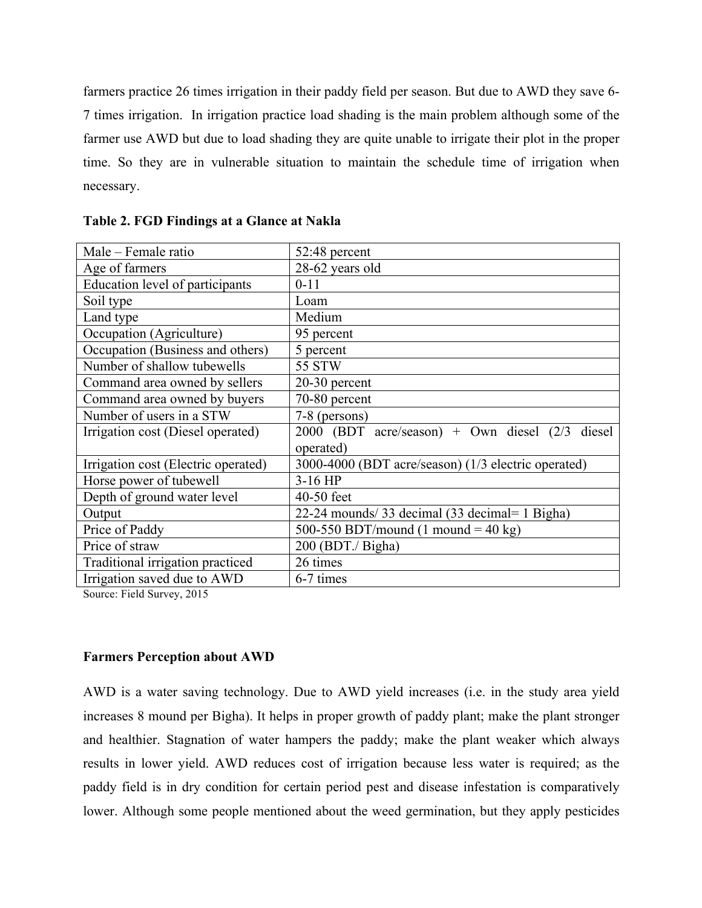farmers practice 26 times irrigation in their paddy field per season. But due to AWD they save 6- 7 times irrigation. In irrigation practice load shading is the main problem although some of the farmer use AWD but due to load shading they are quite unable to irrigate their plot in the proper time. So they are in vulnerable situation to maintain the schedule time of irrigation when necessary.

| Male – Female ratio                 | 52:48 percent                                           |
|-------------------------------------|---------------------------------------------------------|
| Age of farmers                      | 28-62 years old                                         |
| Education level of participants     | $0 - 11$                                                |
| Soil type                           | Loam                                                    |
| Land type                           | Medium                                                  |
| Occupation (Agriculture)            | 95 percent                                              |
| Occupation (Business and others)    | 5 percent                                               |
| Number of shallow tubewells         | 55 STW                                                  |
| Command area owned by sellers       | $20-30$ percent                                         |
| Command area owned by buyers        | 70-80 percent                                           |
| Number of users in a STW            | 7-8 (persons)                                           |
| Irrigation cost (Diesel operated)   | $2000$ (BDT acre/season) + Own diesel $(2/3)$<br>diesel |
|                                     | operated)                                               |
| Irrigation cost (Electric operated) | 3000-4000 (BDT acre/season) (1/3 electric operated)     |
| Horse power of tubewell             | $3-16$ HP                                               |
| Depth of ground water level         | 40-50 feet                                              |
| Output                              | 22-24 mounds/33 decimal (33 decimal= 1 Bigha)           |
| Price of Paddy                      | 500-550 BDT/mound (1 mound = 40 kg)                     |
| Price of straw                      | 200 (BDT./ Bigha)                                       |
| Traditional irrigation practiced    | 26 times                                                |
| Irrigation saved due to AWD         | 6-7 times                                               |

**Table 2. FGD Findings at a Glance at Nakla**

Source: Field Survey, 2015

#### **Farmers Perception about AWD**

AWD is a water saving technology. Due to AWD yield increases (i.e. in the study area yield increases 8 mound per Bigha). It helps in proper growth of paddy plant; make the plant stronger and healthier. Stagnation of water hampers the paddy; make the plant weaker which always results in lower yield. AWD reduces cost of irrigation because less water is required; as the paddy field is in dry condition for certain period pest and disease infestation is comparatively lower. Although some people mentioned about the weed germination, but they apply pesticides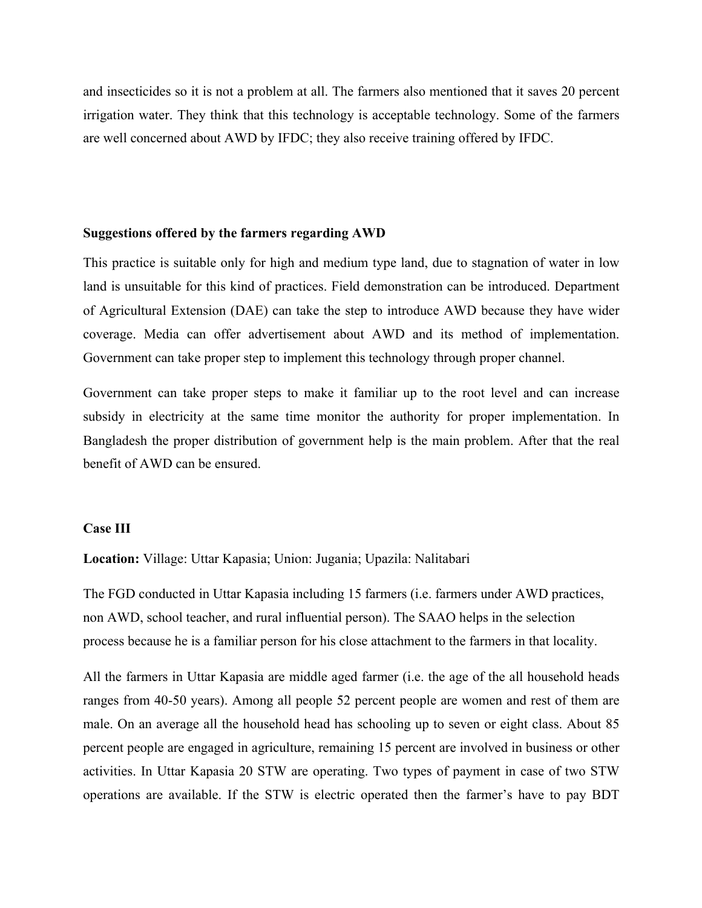and insecticides so it is not a problem at all. The farmers also mentioned that it saves 20 percent irrigation water. They think that this technology is acceptable technology. Some of the farmers are well concerned about AWD by IFDC; they also receive training offered by IFDC.

#### **Suggestions offered by the farmers regarding AWD**

This practice is suitable only for high and medium type land, due to stagnation of water in low land is unsuitable for this kind of practices. Field demonstration can be introduced. Department of Agricultural Extension (DAE) can take the step to introduce AWD because they have wider coverage. Media can offer advertisement about AWD and its method of implementation. Government can take proper step to implement this technology through proper channel.

Government can take proper steps to make it familiar up to the root level and can increase subsidy in electricity at the same time monitor the authority for proper implementation. In Bangladesh the proper distribution of government help is the main problem. After that the real benefit of AWD can be ensured.

#### **Case III**

**Location:** Village: Uttar Kapasia; Union: Jugania; Upazila: Nalitabari

The FGD conducted in Uttar Kapasia including 15 farmers (i.e. farmers under AWD practices, non AWD, school teacher, and rural influential person). The SAAO helps in the selection process because he is a familiar person for his close attachment to the farmers in that locality.

All the farmers in Uttar Kapasia are middle aged farmer (i.e. the age of the all household heads ranges from 40-50 years). Among all people 52 percent people are women and rest of them are male. On an average all the household head has schooling up to seven or eight class. About 85 percent people are engaged in agriculture, remaining 15 percent are involved in business or other activities. In Uttar Kapasia 20 STW are operating. Two types of payment in case of two STW operations are available. If the STW is electric operated then the farmer's have to pay BDT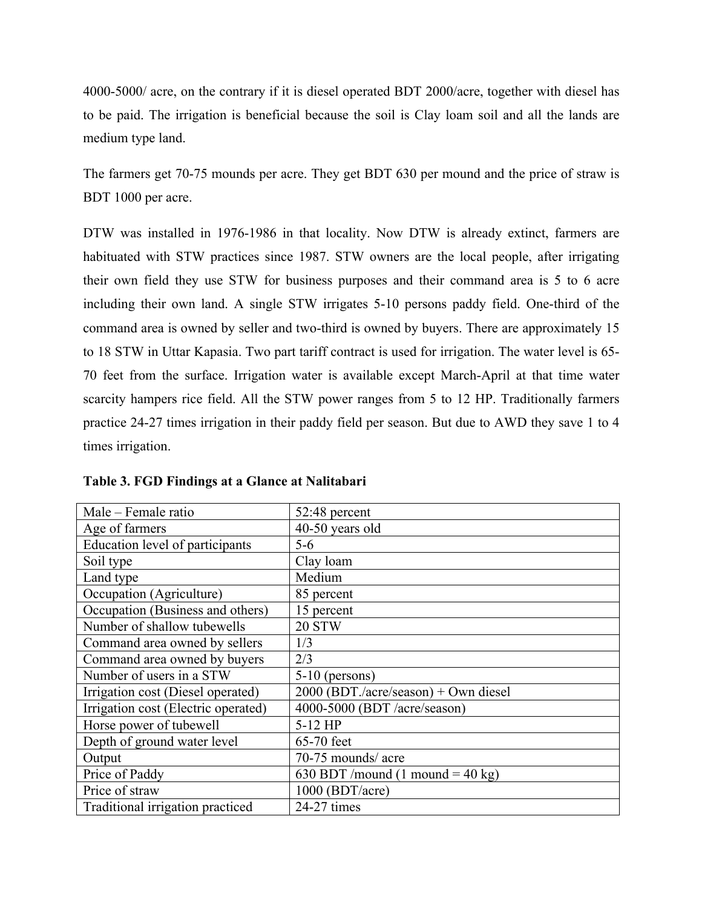4000-5000/ acre, on the contrary if it is diesel operated BDT 2000/acre, together with diesel has to be paid. The irrigation is beneficial because the soil is Clay loam soil and all the lands are medium type land.

The farmers get 70-75 mounds per acre. They get BDT 630 per mound and the price of straw is BDT 1000 per acre.

DTW was installed in 1976-1986 in that locality. Now DTW is already extinct, farmers are habituated with STW practices since 1987. STW owners are the local people, after irrigating their own field they use STW for business purposes and their command area is 5 to 6 acre including their own land. A single STW irrigates 5-10 persons paddy field. One-third of the command area is owned by seller and two-third is owned by buyers. There are approximately 15 to 18 STW in Uttar Kapasia. Two part tariff contract is used for irrigation. The water level is 65- 70 feet from the surface. Irrigation water is available except March-April at that time water scarcity hampers rice field. All the STW power ranges from 5 to 12 HP. Traditionally farmers practice 24-27 times irrigation in their paddy field per season. But due to AWD they save 1 to 4 times irrigation.

| Male – Female ratio                 | 52:48 percent                        |
|-------------------------------------|--------------------------------------|
| Age of farmers                      | 40-50 years old                      |
| Education level of participants     | $5-6$                                |
| Soil type                           | Clay loam                            |
| Land type                           | Medium                               |
| Occupation (Agriculture)            | 85 percent                           |
| Occupation (Business and others)    | 15 percent                           |
| Number of shallow tubewells         | 20 STW                               |
| Command area owned by sellers       | 1/3                                  |
| Command area owned by buyers        | 2/3                                  |
| Number of users in a STW            | $5-10$ (persons)                     |
| Irrigation cost (Diesel operated)   | 2000 (BDT./acre/season) + Own diesel |
| Irrigation cost (Electric operated) | 4000-5000 (BDT /acre/season)         |
| Horse power of tubewell             | $5-12$ HP                            |
| Depth of ground water level         | 65-70 feet                           |
| Output                              | 70-75 mounds/ acre                   |
| Price of Paddy                      | 630 BDT /mound (1 mound = 40 kg)     |
| Price of straw                      | $1000$ (BDT/acre)                    |
| Traditional irrigation practiced    | 24-27 times                          |

**Table 3. FGD Findings at a Glance at Nalitabari**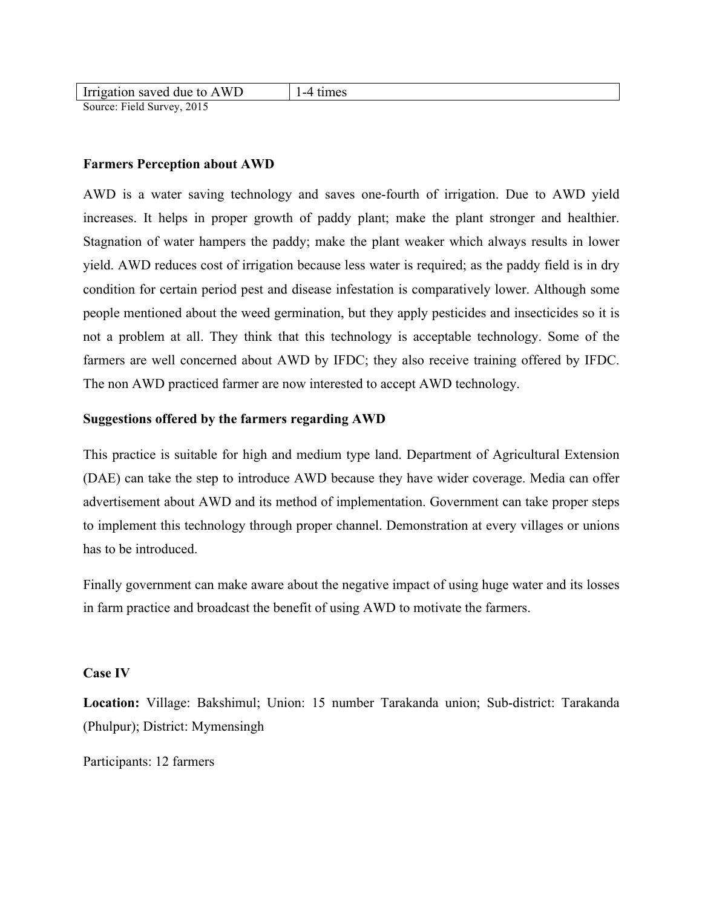| Irrigation saved due to A<br>. W L                                   |  |
|----------------------------------------------------------------------|--|
| $\mathcal{C}_{\text{oumon}}$ Eight $\mathcal{C}_{\text{oumon}}$ 2015 |  |

Source: Field Survey, 2015

## **Farmers Perception about AWD**

AWD is a water saving technology and saves one-fourth of irrigation. Due to AWD yield increases. It helps in proper growth of paddy plant; make the plant stronger and healthier. Stagnation of water hampers the paddy; make the plant weaker which always results in lower yield. AWD reduces cost of irrigation because less water is required; as the paddy field is in dry condition for certain period pest and disease infestation is comparatively lower. Although some people mentioned about the weed germination, but they apply pesticides and insecticides so it is not a problem at all. They think that this technology is acceptable technology. Some of the farmers are well concerned about AWD by IFDC; they also receive training offered by IFDC. The non AWD practiced farmer are now interested to accept AWD technology.

## **Suggestions offered by the farmers regarding AWD**

This practice is suitable for high and medium type land. Department of Agricultural Extension (DAE) can take the step to introduce AWD because they have wider coverage. Media can offer advertisement about AWD and its method of implementation. Government can take proper steps to implement this technology through proper channel. Demonstration at every villages or unions has to be introduced.

Finally government can make aware about the negative impact of using huge water and its losses in farm practice and broadcast the benefit of using AWD to motivate the farmers.

#### **Case IV**

**Location:** Village: Bakshimul; Union: 15 number Tarakanda union; Sub-district: Tarakanda (Phulpur); District: Mymensingh

Participants: 12 farmers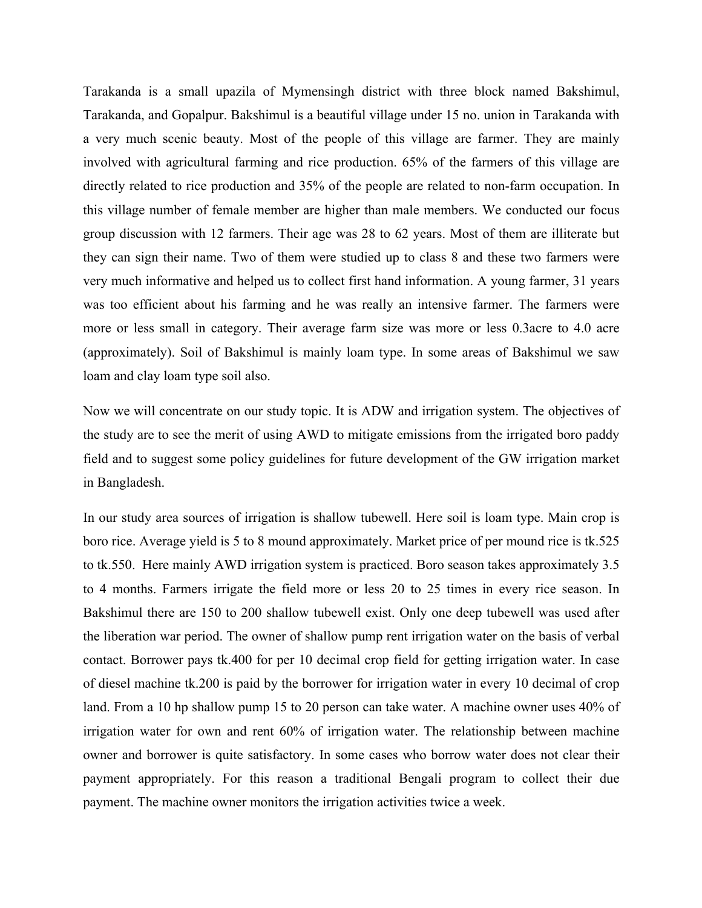Tarakanda is a small upazila of Mymensingh district with three block named Bakshimul, Tarakanda, and Gopalpur. Bakshimul is a beautiful village under 15 no. union in Tarakanda with a very much scenic beauty. Most of the people of this village are farmer. They are mainly involved with agricultural farming and rice production. 65% of the farmers of this village are directly related to rice production and 35% of the people are related to non-farm occupation. In this village number of female member are higher than male members. We conducted our focus group discussion with 12 farmers. Their age was 28 to 62 years. Most of them are illiterate but they can sign their name. Two of them were studied up to class 8 and these two farmers were very much informative and helped us to collect first hand information. A young farmer, 31 years was too efficient about his farming and he was really an intensive farmer. The farmers were more or less small in category. Their average farm size was more or less 0.3acre to 4.0 acre (approximately). Soil of Bakshimul is mainly loam type. In some areas of Bakshimul we saw loam and clay loam type soil also.

Now we will concentrate on our study topic. It is ADW and irrigation system. The objectives of the study are to see the merit of using AWD to mitigate emissions from the irrigated boro paddy field and to suggest some policy guidelines for future development of the GW irrigation market in Bangladesh.

In our study area sources of irrigation is shallow tubewell. Here soil is loam type. Main crop is boro rice. Average yield is 5 to 8 mound approximately. Market price of per mound rice is tk.525 to tk.550. Here mainly AWD irrigation system is practiced. Boro season takes approximately 3.5 to 4 months. Farmers irrigate the field more or less 20 to 25 times in every rice season. In Bakshimul there are 150 to 200 shallow tubewell exist. Only one deep tubewell was used after the liberation war period. The owner of shallow pump rent irrigation water on the basis of verbal contact. Borrower pays tk.400 for per 10 decimal crop field for getting irrigation water. In case of diesel machine tk.200 is paid by the borrower for irrigation water in every 10 decimal of crop land. From a 10 hp shallow pump 15 to 20 person can take water. A machine owner uses 40% of irrigation water for own and rent 60% of irrigation water. The relationship between machine owner and borrower is quite satisfactory. In some cases who borrow water does not clear their payment appropriately. For this reason a traditional Bengali program to collect their due payment. The machine owner monitors the irrigation activities twice a week.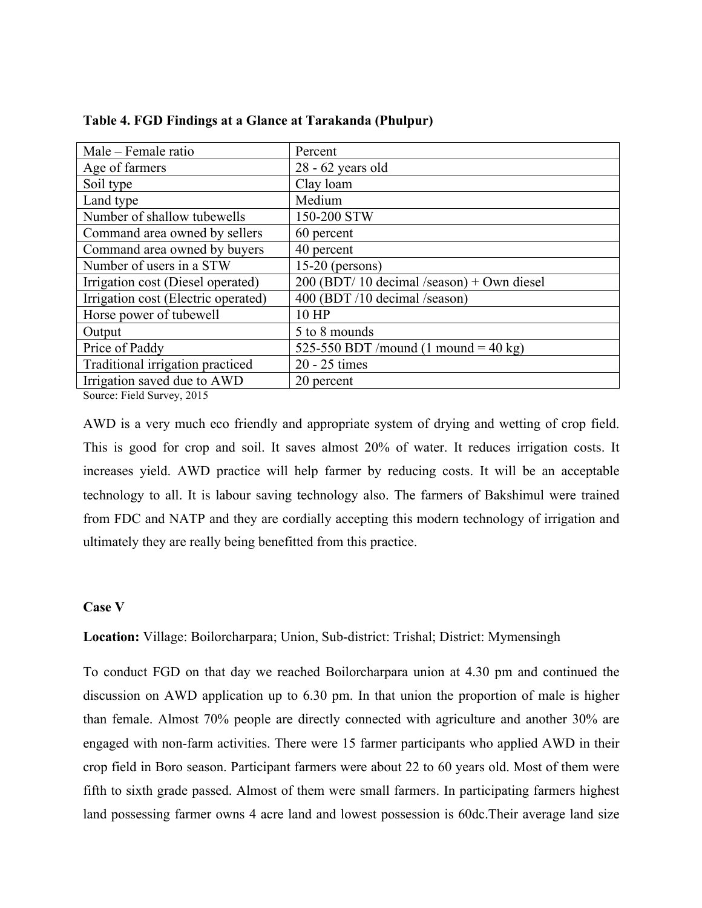| Male - Female ratio                 | Percent                                      |
|-------------------------------------|----------------------------------------------|
| Age of farmers                      | $28 - 62$ years old                          |
| Soil type                           | Clay loam                                    |
| Land type                           | Medium                                       |
| Number of shallow tubewells         | 150-200 STW                                  |
| Command area owned by sellers       | 60 percent                                   |
| Command area owned by buyers        | 40 percent                                   |
| Number of users in a STW            | $15-20$ (persons)                            |
| Irrigation cost (Diesel operated)   | $200$ (BDT/ 10 decimal /season) + Own diesel |
| Irrigation cost (Electric operated) | 400 (BDT /10 decimal /season)                |
| Horse power of tubewell             | 10 HP                                        |
| Output                              | 5 to 8 mounds                                |
| Price of Paddy                      | 525-550 BDT /mound (1 mound = 40 kg)         |
| Traditional irrigation practiced    | 20 - 25 times                                |
| Irrigation saved due to AWD         | 20 percent                                   |

| Table 4. FGD Findings at a Glance at Tarakanda (Phulpur) |  |  |
|----------------------------------------------------------|--|--|
|----------------------------------------------------------|--|--|

Source: Field Survey, 2015

AWD is a very much eco friendly and appropriate system of drying and wetting of crop field. This is good for crop and soil. It saves almost 20% of water. It reduces irrigation costs. It increases yield. AWD practice will help farmer by reducing costs. It will be an acceptable technology to all. It is labour saving technology also. The farmers of Bakshimul were trained from FDC and NATP and they are cordially accepting this modern technology of irrigation and ultimately they are really being benefitted from this practice.

#### **Case V**

**Location:** Village: Boilorcharpara; Union, Sub-district: Trishal; District: Mymensingh

To conduct FGD on that day we reached Boilorcharpara union at 4.30 pm and continued the discussion on AWD application up to 6.30 pm. In that union the proportion of male is higher than female. Almost 70% people are directly connected with agriculture and another 30% are engaged with non-farm activities. There were 15 farmer participants who applied AWD in their crop field in Boro season. Participant farmers were about 22 to 60 years old. Most of them were fifth to sixth grade passed. Almost of them were small farmers. In participating farmers highest land possessing farmer owns 4 acre land and lowest possession is 60dc.Their average land size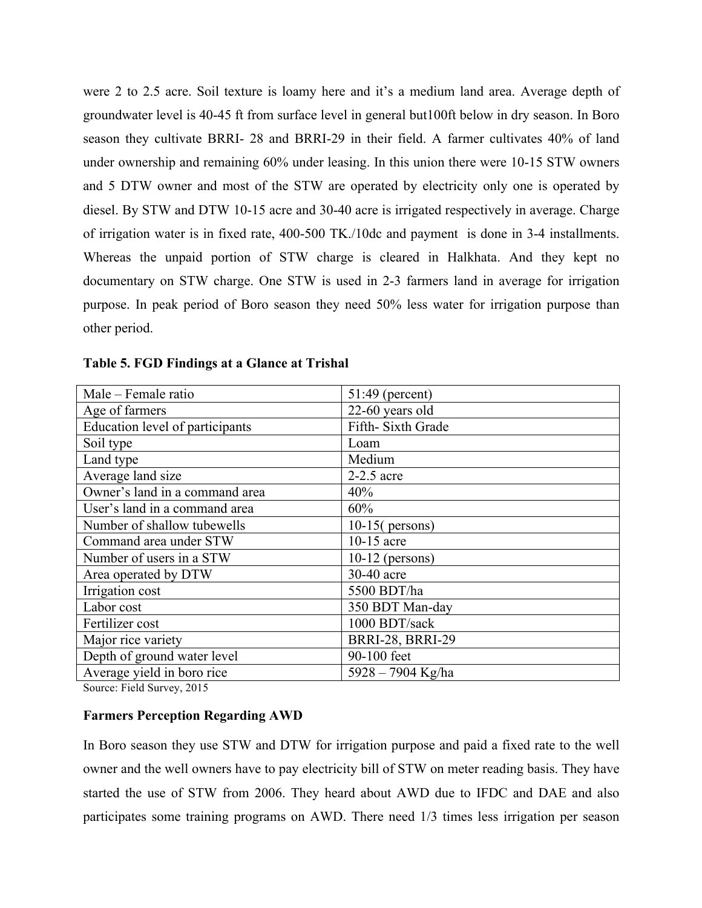were 2 to 2.5 acre. Soil texture is loamy here and it's a medium land area. Average depth of groundwater level is 40-45 ft from surface level in general but100ft below in dry season. In Boro season they cultivate BRRI- 28 and BRRI-29 in their field. A farmer cultivates 40% of land under ownership and remaining 60% under leasing. In this union there were 10-15 STW owners and 5 DTW owner and most of the STW are operated by electricity only one is operated by diesel. By STW and DTW 10-15 acre and 30-40 acre is irrigated respectively in average. Charge of irrigation water is in fixed rate, 400-500 TK./10dc and payment is done in 3-4 installments. Whereas the unpaid portion of STW charge is cleared in Halkhata. And they kept no documentary on STW charge. One STW is used in 2-3 farmers land in average for irrigation purpose. In peak period of Boro season they need 50% less water for irrigation purpose than other period.

| Male – Female ratio             | 51:49 (percent)         |
|---------------------------------|-------------------------|
| Age of farmers                  | 22-60 years old         |
| Education level of participants | Fifth-Sixth Grade       |
| Soil type                       | Loam                    |
| Land type                       | Medium                  |
| Average land size               | 2-2.5 acre              |
| Owner's land in a command area  | 40%                     |
| User's land in a command area   | 60%                     |
| Number of shallow tubewells     | $10-15$ (persons)       |
| Command area under STW          | 10-15 acre              |
| Number of users in a STW        | $10-12$ (persons)       |
| Area operated by DTW            | 30-40 acre              |
| Irrigation cost                 | 5500 BDT/ha             |
| Labor cost                      | 350 BDT Man-day         |
| Fertilizer cost                 | 1000 BDT/sack           |
| Major rice variety              | <b>BRRI-28, BRRI-29</b> |
| Depth of ground water level     | 90-100 feet             |
| Average yield in boro rice      | 5928 - 7904 Kg/ha       |

| Table 5. FGD Findings at a Glance at Trishal |  |  |
|----------------------------------------------|--|--|
|                                              |  |  |

Source: Field Survey, 2015

#### **Farmers Perception Regarding AWD**

In Boro season they use STW and DTW for irrigation purpose and paid a fixed rate to the well owner and the well owners have to pay electricity bill of STW on meter reading basis. They have started the use of STW from 2006. They heard about AWD due to IFDC and DAE and also participates some training programs on AWD. There need 1/3 times less irrigation per season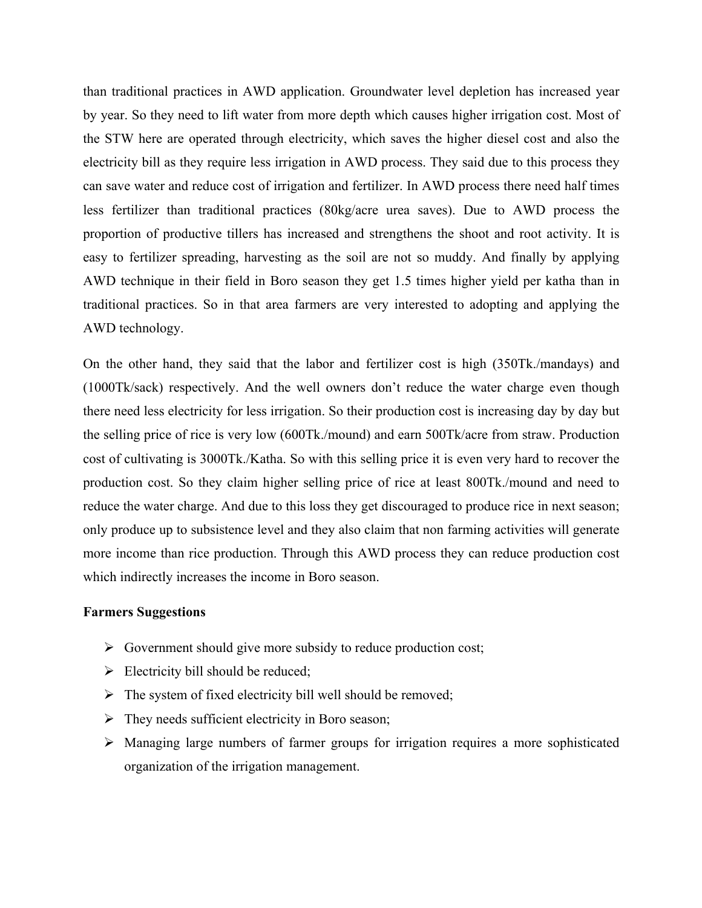than traditional practices in AWD application. Groundwater level depletion has increased year by year. So they need to lift water from more depth which causes higher irrigation cost. Most of the STW here are operated through electricity, which saves the higher diesel cost and also the electricity bill as they require less irrigation in AWD process. They said due to this process they can save water and reduce cost of irrigation and fertilizer. In AWD process there need half times less fertilizer than traditional practices (80kg/acre urea saves). Due to AWD process the proportion of productive tillers has increased and strengthens the shoot and root activity. It is easy to fertilizer spreading, harvesting as the soil are not so muddy. And finally by applying AWD technique in their field in Boro season they get 1.5 times higher yield per katha than in traditional practices. So in that area farmers are very interested to adopting and applying the AWD technology.

On the other hand, they said that the labor and fertilizer cost is high (350Tk./mandays) and (1000Tk/sack) respectively. And the well owners don't reduce the water charge even though there need less electricity for less irrigation. So their production cost is increasing day by day but the selling price of rice is very low (600Tk./mound) and earn 500Tk/acre from straw. Production cost of cultivating is 3000Tk./Katha. So with this selling price it is even very hard to recover the production cost. So they claim higher selling price of rice at least 800Tk./mound and need to reduce the water charge. And due to this loss they get discouraged to produce rice in next season; only produce up to subsistence level and they also claim that non farming activities will generate more income than rice production. Through this AWD process they can reduce production cost which indirectly increases the income in Boro season.

#### **Farmers Suggestions**

- $\triangleright$  Government should give more subsidy to reduce production cost;
- $\triangleright$  Electricity bill should be reduced;
- $\triangleright$  The system of fixed electricity bill well should be removed;
- $\triangleright$  They needs sufficient electricity in Boro season;
- $\triangleright$  Managing large numbers of farmer groups for irrigation requires a more sophisticated organization of the irrigation management.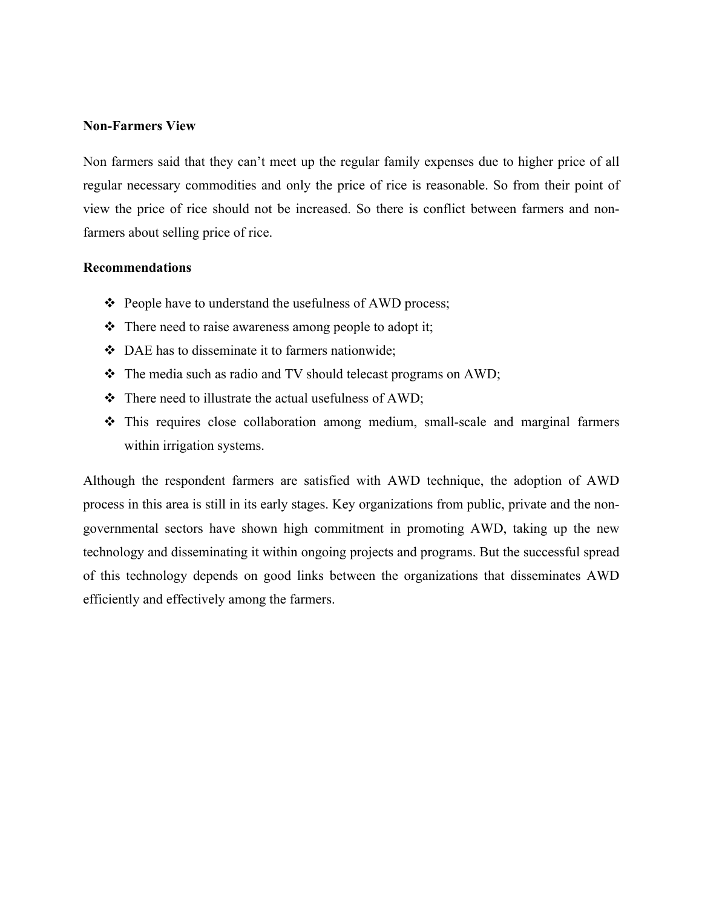#### **Non-Farmers View**

Non farmers said that they can't meet up the regular family expenses due to higher price of all regular necessary commodities and only the price of rice is reasonable. So from their point of view the price of rice should not be increased. So there is conflict between farmers and nonfarmers about selling price of rice.

#### **Recommendations**

- People have to understand the usefulness of AWD process;
- $\triangle$  There need to raise awareness among people to adopt it;
- $\bullet$  DAE has to disseminate it to farmers nationwide;
- \* The media such as radio and TV should telecast programs on AWD;
- $\div$  There need to illustrate the actual usefulness of AWD;
- This requires close collaboration among medium, small-scale and marginal farmers within irrigation systems.

Although the respondent farmers are satisfied with AWD technique, the adoption of AWD process in this area is still in its early stages. Key organizations from public, private and the nongovernmental sectors have shown high commitment in promoting AWD, taking up the new technology and disseminating it within ongoing projects and programs. But the successful spread of this technology depends on good links between the organizations that disseminates AWD efficiently and effectively among the farmers.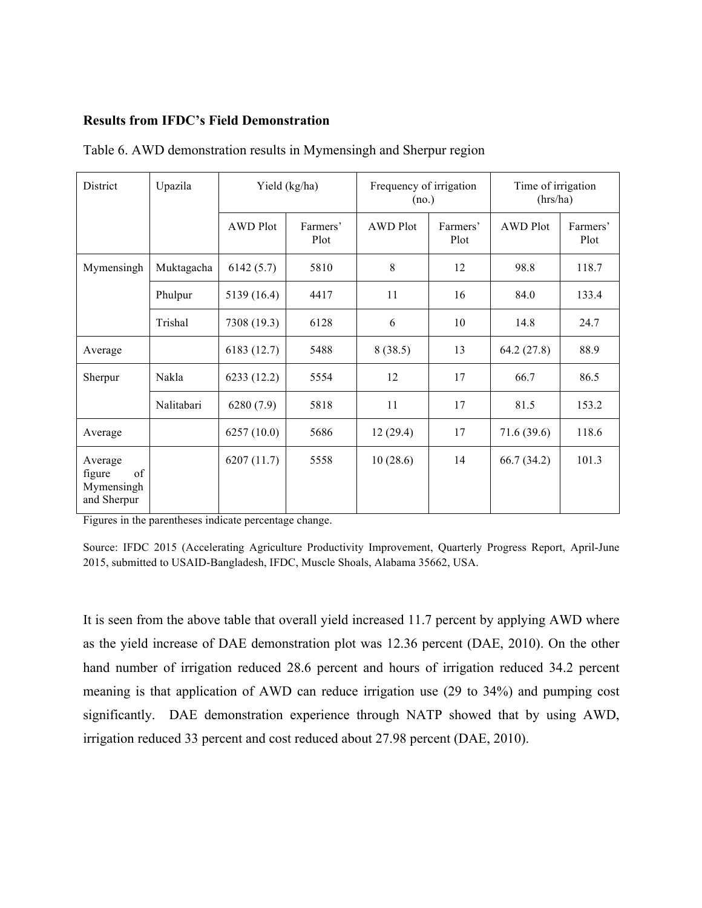#### **Results from IFDC's Field Demonstration**

| District                                             | Upazila    |                 | Yield (kg/ha)    | Frequency of irrigation<br>(no.) |                  | Time of irrigation<br>(hrs/ha) |                  |
|------------------------------------------------------|------------|-----------------|------------------|----------------------------------|------------------|--------------------------------|------------------|
|                                                      |            | <b>AWD Plot</b> | Farmers'<br>Plot | <b>AWD Plot</b>                  | Farmers'<br>Plot | <b>AWD Plot</b>                | Farmers'<br>Plot |
| Mymensingh                                           | Muktagacha | 6142(5.7)       | 5810             | 8                                | 12               | 98.8                           | 118.7            |
|                                                      | Phulpur    | 5139 (16.4)     | 4417             | 11                               | 16               | 84.0                           | 133.4            |
|                                                      | Trishal    | 7308 (19.3)     | 6128             | 6                                | 10               | 14.8                           | 24.7             |
| Average                                              |            | 6183 (12.7)     | 5488             | 8(38.5)                          | 13               | 64.2(27.8)                     | 88.9             |
| Sherpur                                              | Nakla      | 6233(12.2)      | 5554             | 12                               | 17               | 66.7                           | 86.5             |
|                                                      | Nalitabari | 6280(7.9)       | 5818             | 11                               | 17               | 81.5                           | 153.2            |
| Average                                              |            | 6257(10.0)      | 5686             | 12(29.4)                         | 17               | 71.6(39.6)                     | 118.6            |
| Average<br>of<br>figure<br>Mymensingh<br>and Sherpur |            | 6207(11.7)      | 5558             | 10(28.6)                         | 14               | 66.7(34.2)                     | 101.3            |

Table 6. AWD demonstration results in Mymensingh and Sherpur region

Figures in the parentheses indicate percentage change.

Source: IFDC 2015 (Accelerating Agriculture Productivity Improvement, Quarterly Progress Report, April-June 2015, submitted to USAID-Bangladesh, IFDC, Muscle Shoals, Alabama 35662, USA.

It is seen from the above table that overall yield increased 11.7 percent by applying AWD where as the yield increase of DAE demonstration plot was 12.36 percent (DAE, 2010). On the other hand number of irrigation reduced 28.6 percent and hours of irrigation reduced 34.2 percent meaning is that application of AWD can reduce irrigation use (29 to 34%) and pumping cost significantly. DAE demonstration experience through NATP showed that by using AWD, irrigation reduced 33 percent and cost reduced about 27.98 percent (DAE, 2010).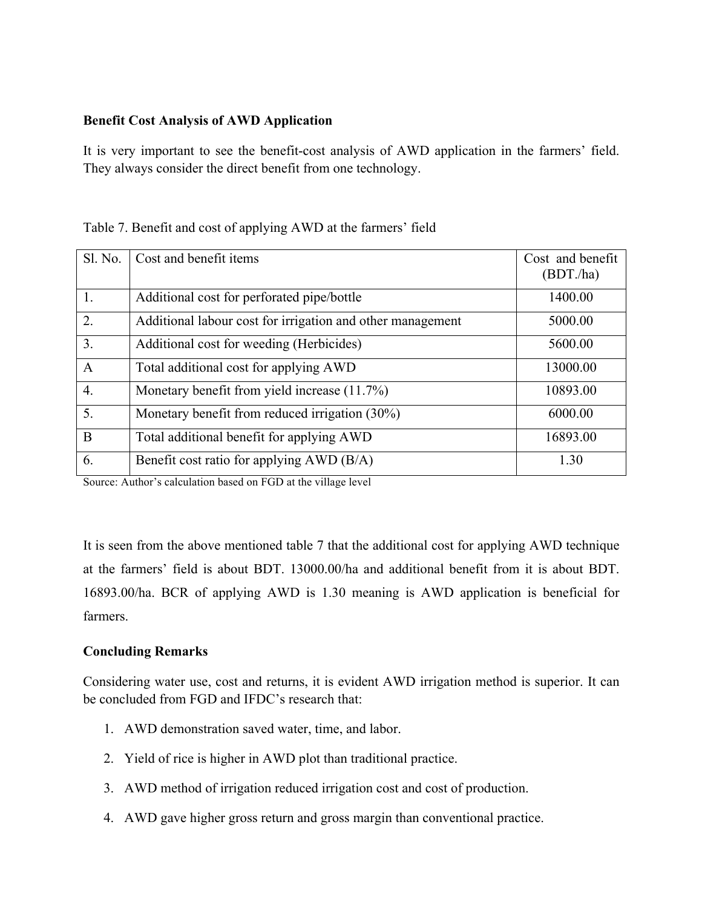## **Benefit Cost Analysis of AWD Application**

It is very important to see the benefit-cost analysis of AWD application in the farmers' field. They always consider the direct benefit from one technology.

| Table 7. Benefit and cost of applying AWD at the farmers' field |  |
|-----------------------------------------------------------------|--|
|-----------------------------------------------------------------|--|

| Sl. No.          | Cost and benefit items                                     | Cost and benefit<br>(BDT/ha) |
|------------------|------------------------------------------------------------|------------------------------|
| 1.               | Additional cost for perforated pipe/bottle                 | 1400.00                      |
| $\overline{2}$ . | Additional labour cost for irrigation and other management | 5000.00                      |
| 3.               | Additional cost for weeding (Herbicides)                   | 5600.00                      |
| $\mathbf{A}$     | Total additional cost for applying AWD                     | 13000.00                     |
| $\overline{4}$ . | Monetary benefit from yield increase (11.7%)               | 10893.00                     |
| 5.               | Monetary benefit from reduced irrigation (30%)             | 6000.00                      |
| $\mathbf{B}$     | Total additional benefit for applying AWD                  | 16893.00                     |
| 6.               | Benefit cost ratio for applying AWD (B/A)                  | 1.30                         |

Source: Author's calculation based on FGD at the village level

It is seen from the above mentioned table 7 that the additional cost for applying AWD technique at the farmers' field is about BDT. 13000.00/ha and additional benefit from it is about BDT. 16893.00/ha. BCR of applying AWD is 1.30 meaning is AWD application is beneficial for farmers.

## **Concluding Remarks**

Considering water use, cost and returns, it is evident AWD irrigation method is superior. It can be concluded from FGD and IFDC's research that:

- 1. AWD demonstration saved water, time, and labor.
- 2. Yield of rice is higher in AWD plot than traditional practice.
- 3. AWD method of irrigation reduced irrigation cost and cost of production.
- 4. AWD gave higher gross return and gross margin than conventional practice.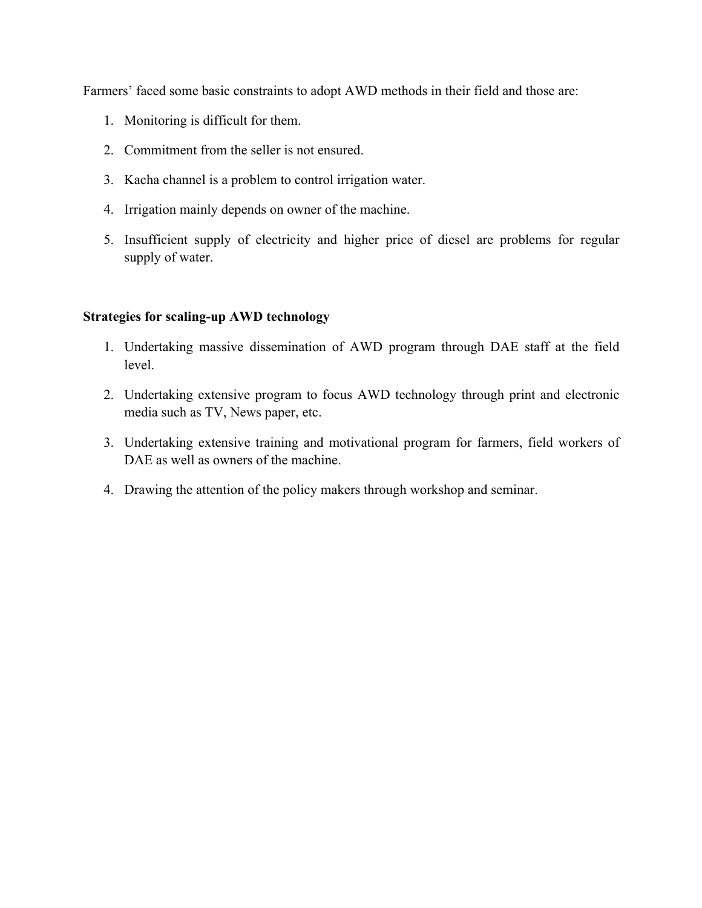Farmers' faced some basic constraints to adopt AWD methods in their field and those are:

- 1. Monitoring is difficult for them.
- 2. Commitment from the seller is not ensured.
- 3. Kacha channel is a problem to control irrigation water.
- 4. Irrigation mainly depends on owner of the machine.
- 5. Insufficient supply of electricity and higher price of diesel are problems for regular supply of water.

## **Strategies for scaling-up AWD technology**

- 1. Undertaking massive dissemination of AWD program through DAE staff at the field level.
- 2. Undertaking extensive program to focus AWD technology through print and electronic media such as TV, News paper, etc.
- 3. Undertaking extensive training and motivational program for farmers, field workers of DAE as well as owners of the machine.
- 4. Drawing the attention of the policy makers through workshop and seminar.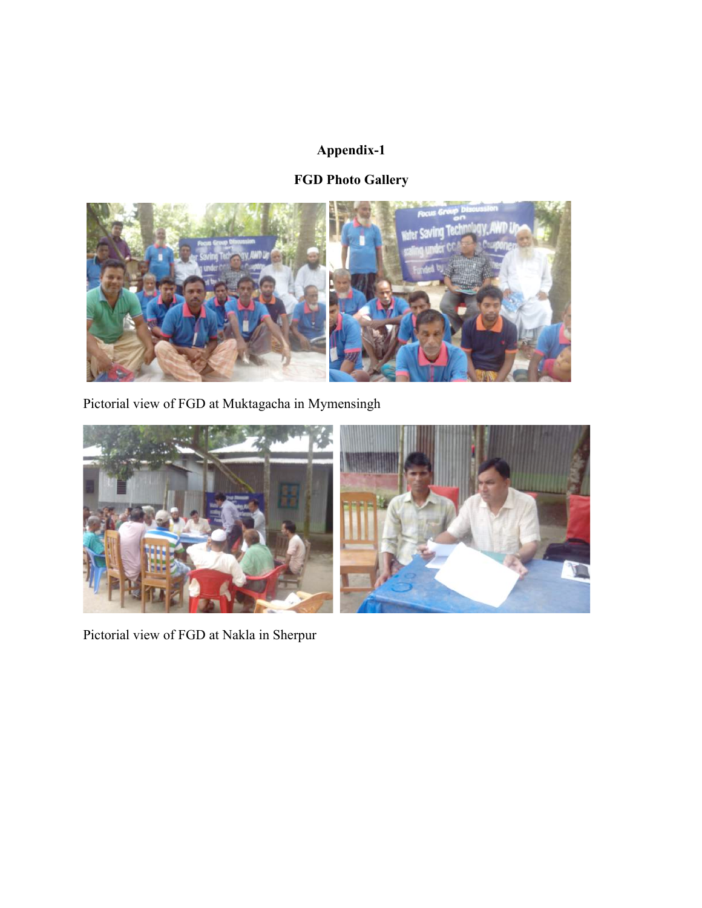## **Appendix-1**

# **FGD Photo Gallery**



Pictorial view of FGD at Muktagacha in Mymensingh



Pictorial view of FGD at Nakla in Sherpur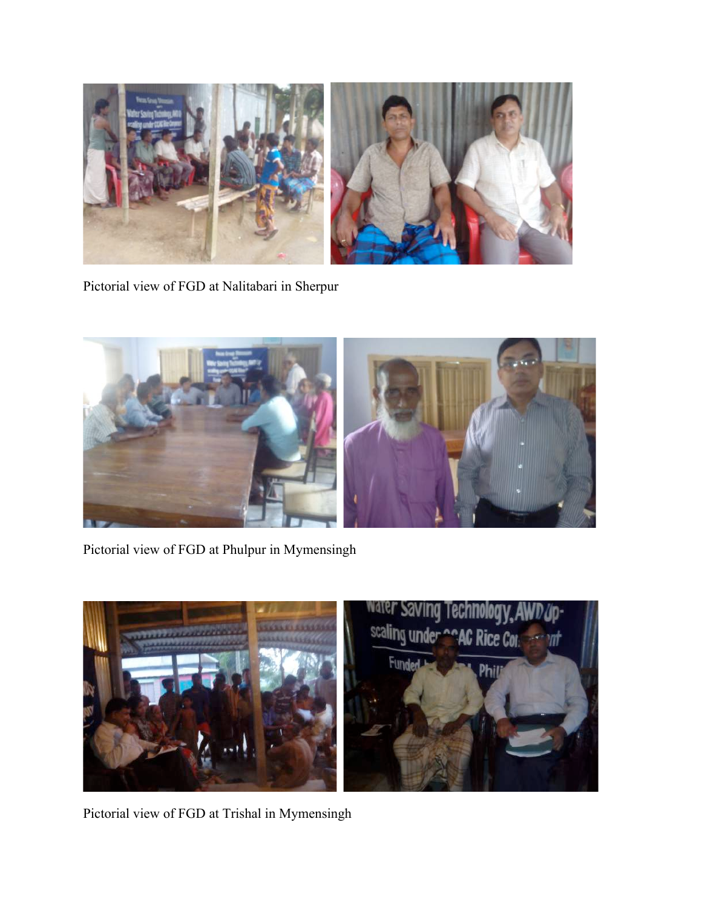

Pictorial view of FGD at Nalitabari in Sherpur



Pictorial view of FGD at Phulpur in Mymensingh



Pictorial view of FGD at Trishal in Mymensingh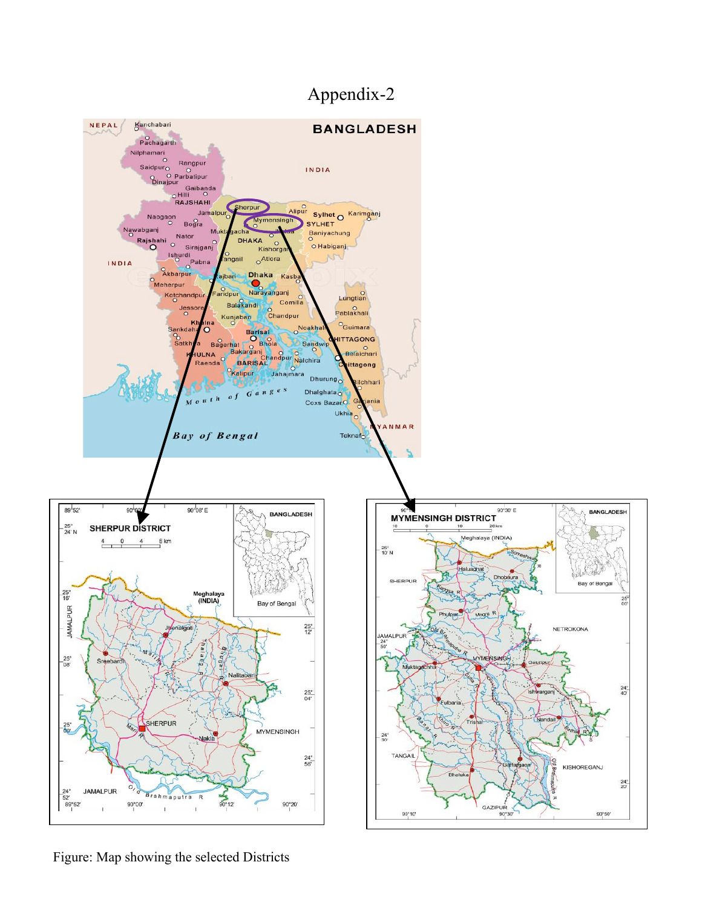# Appendix-2



Figure: Map showing the selected Districts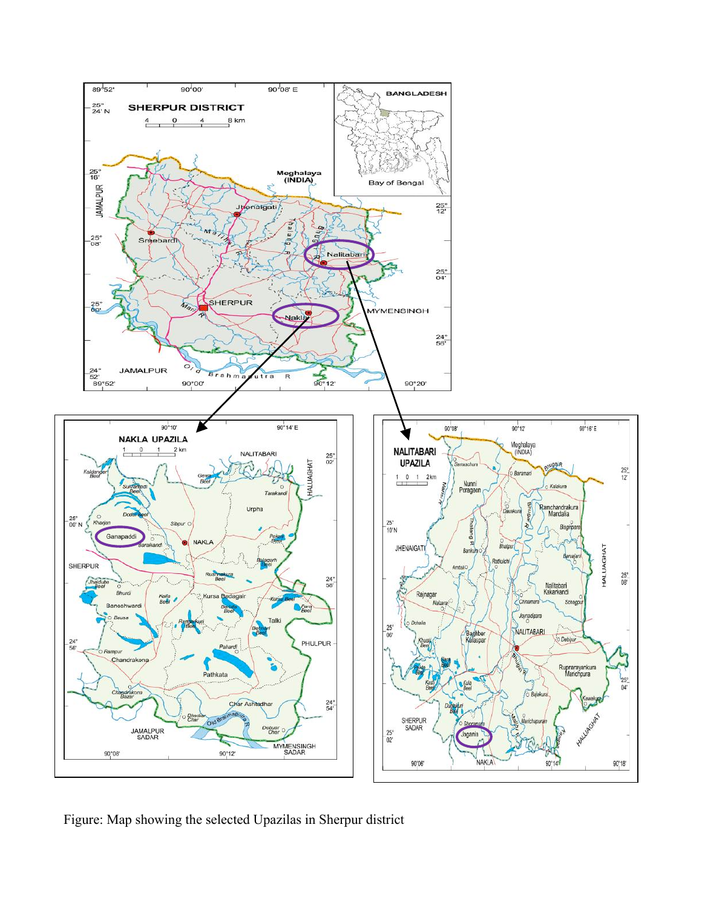

Figure: Map showing the selected Upazilas in Sherpur district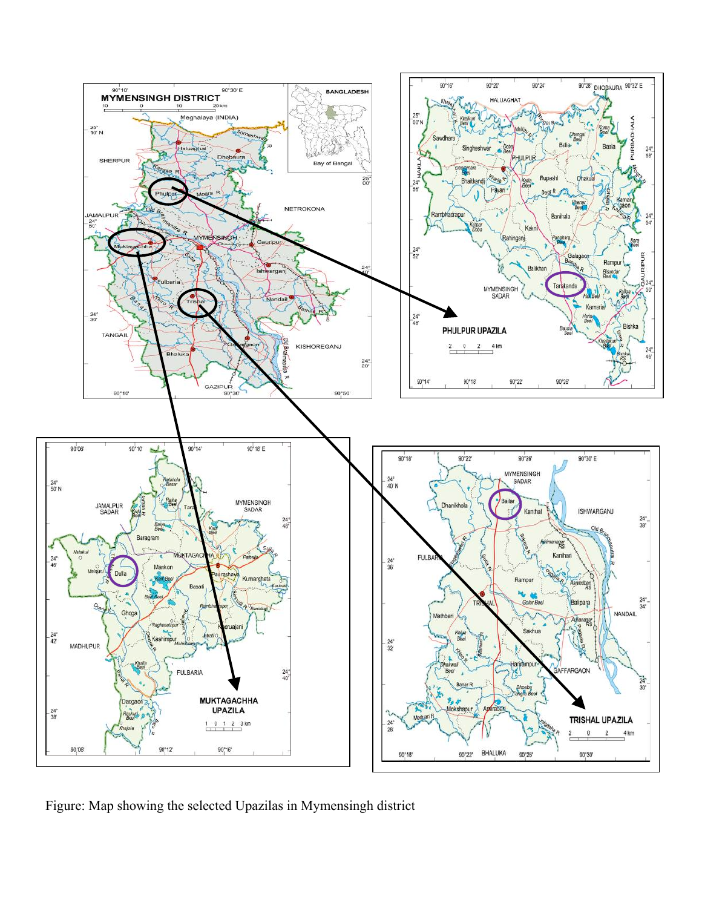

Figure: Map showing the selected Upazilas in Mymensingh district